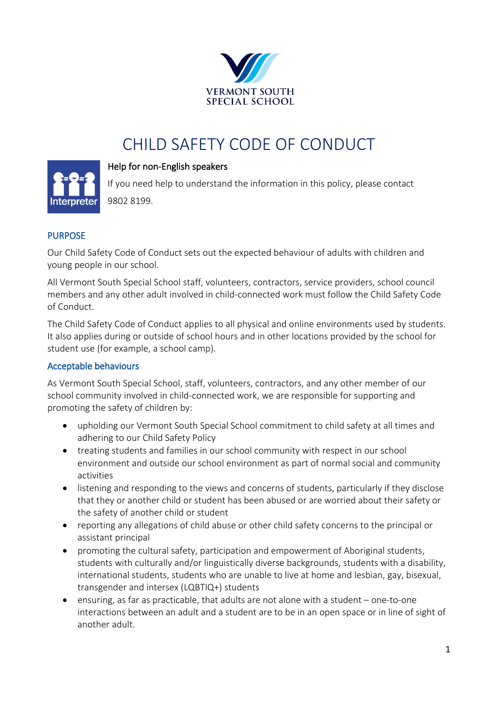

# CHILD SAFETY CODE OF CONDUCT



#### Help for non-English speakers

If you need help to understand the information in this policy, please contact 9802 8199.

#### PURPOSE

Our Child Safety Code of Conduct sets out the expected behaviour of adults with children and young people in our school.

All Vermont South Special School staff, volunteers, contractors, service providers, school council members and any other adult involved in child-connected work must follow the Child Safety Code of Conduct.

The Child Safety Code of Conduct applies to all physical and online environments used by students. It also applies during or outside of school hours and in other locations provided by the school for student use (for example, a school camp).

#### Acceptable behaviours

As Vermont South Special School, staff, volunteers, contractors, and any other member of our school community involved in child-connected work, we are responsible for supporting and promoting the safety of children by:

- upholding our Vermont South Special School commitment to child safety at all times and adhering to our Child Safety Policy
- treating students and families in our school community with respect in our school environment and outside our school environment as part of normal social and community activities
- listening and responding to the views and concerns of students, particularly if they disclose that they or another child or student has been abused or are worried about their safety or the safety of another child or student
- reporting any allegations of child abuse or other child safety concerns to the principal or assistant principal
- promoting the cultural safety, participation and empowerment of Aboriginal students, students with culturally and/or linguistically diverse backgrounds, students with a disability, international students, students who are unable to live at home and lesbian, gay, bisexual, transgender and intersex (LQBTIQ+) students
- ensuring, as far as practicable, that adults are not alone with a student one-to-one interactions between an adult and a student are to be in an open space or in line of sight of another adult.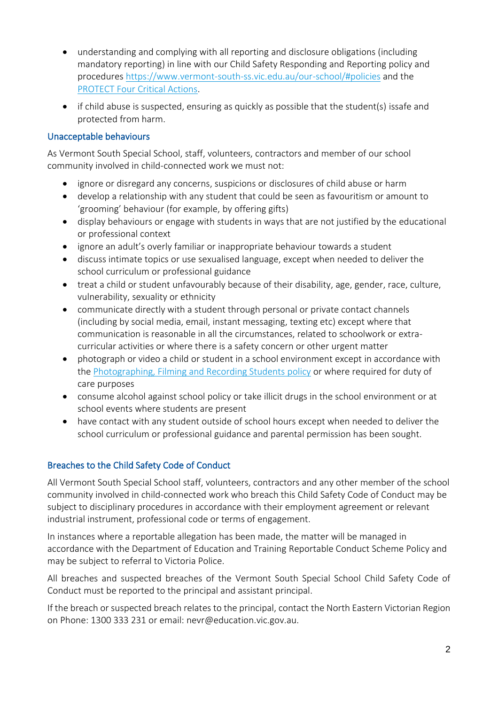- understanding and complying with all reporting and disclosure obligations (including mandatory reporting) in line with our Child Safety Responding and Reporting policy and procedures [https://www.vermont-south-ss.vic.edu.au/our-school/#policies](https://aus01.safelinks.protection.outlook.com/?url=https%3A%2F%2Fwww.vermont-south-ss.vic.edu.au%2Four-school%2F%23policies&data=05%7C01%7CClare.Merison%40education.vic.gov.au%7C6ba670ff511f4f532adb08da3c59d660%7Cd96cb3371a8744cfb69b3cec334a4c1f%7C0%7C0%7C637888653783038577%7CUnknown%7CTWFpbGZsb3d8eyJWIjoiMC4wLjAwMDAiLCJQIjoiV2luMzIiLCJBTiI6Ik1haWwiLCJXVCI6Mn0%3D%7C3000%7C%7C%7C&sdata=BaAWZu4g1EDS3fOONNzckC9xj1gZliD8ihThQNRpZ2A%3D&reserved=0) and the [PROTECT Four Critical Actions.](https://www.education.vic.gov.au/Documents/about/programs/health/protect/FourCriticalActions_ChildAbuse.pdf)
- if child abuse is suspected, ensuring as quickly as possible that the student(s) issafe and protected from harm.

### Unacceptable behaviours

As Vermont South Special School, staff, volunteers, contractors and member of our school community involved in child-connected work we must not:

- ignore or disregard any concerns, suspicions or disclosures of child abuse or harm
- develop a relationship with any student that could be seen as favouritism or amount to 'grooming' behaviour (for example, by offering gifts)
- display behaviours or engage with students in ways that are not justified by the educational or professional context
- ignore an adult's overly familiar or inappropriate behaviour towards a student
- discuss intimate topics or use sexualised language, except when needed to deliver the school curriculum or professional guidance
- treat a child or student unfavourably because of their disability, age, gender, race, culture, vulnerability, sexuality or ethnicity
- communicate directly with a student through personal or private contact channels (including by social media, email, instant messaging, texting etc) except where that communication is reasonable in all the circumstances, related to schoolwork or extracurricular activities or where there is a safety concern or other urgent matter
- photograph or video a child or student in a school environment except in accordance with the [Photographing, Filming and Recording Students policy](https://www2.education.vic.gov.au/pal/photographing-students/policy) or where required for duty of care purposes
- consume alcohol against school policy or take illicit drugs in the school environment or at school events where students are present
- have contact with any student outside of school hours except when needed to deliver the school curriculum or professional guidance and parental permission has been sought.

## Breaches to the Child Safety Code of Conduct

All Vermont South Special School staff, volunteers, contractors and any other member of the school community involved in child-connected work who breach this Child Safety Code of Conduct may be subject to disciplinary procedures in accordance with their employment agreement or relevant industrial instrument, professional code or terms of engagement.

In instances where a reportable allegation has been made, the matter will be managed in accordance with the Department of Education and Training Reportable Conduct Scheme Policy and may be subject to referral to Victoria Police.

All breaches and suspected breaches of the Vermont South Special School Child Safety Code of Conduct must be reported to the principal and assistant principal.

If the breach or suspected breach relates to the principal, contact the North Eastern Victorian Region on Phone: [1300 333 231](tel:1300333231) or email: [nevr@education.vic.gov.au.](mailto:nevr@education.vic.gov.au)